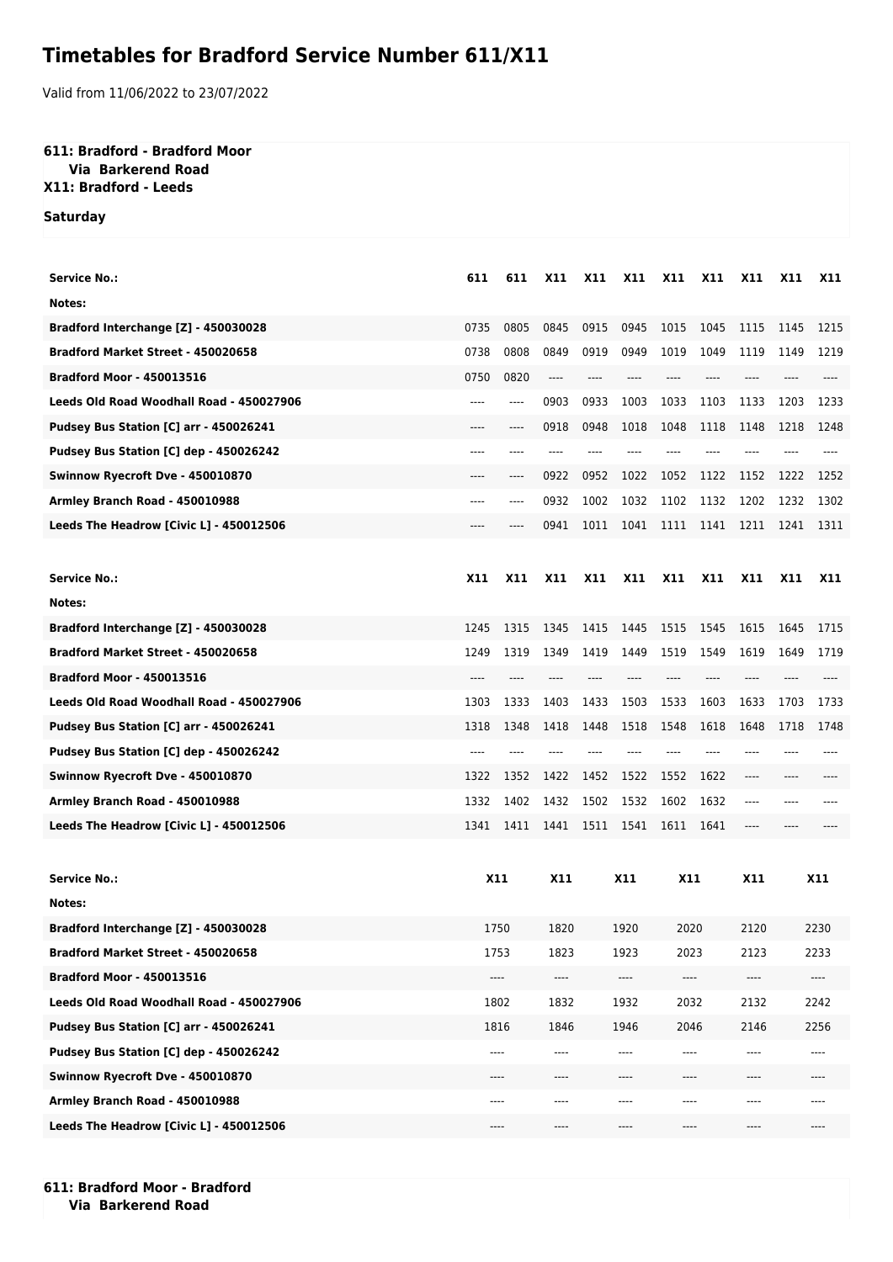## **Timetables for Bradford Service Number 611/X11**

Valid from 11/06/2022 to 23/07/2022

## **611: Bradford - Bradford Moor**

## **Via Barkerend Road X11: Bradford - Leeds**

**Saturday**

| Service No.:                             | 611        | 611        | X11                           | X11        | X11  | X11        | X11        | X11        | <b>X11</b>                    | <b>X11</b>                    |
|------------------------------------------|------------|------------|-------------------------------|------------|------|------------|------------|------------|-------------------------------|-------------------------------|
| Notes:                                   |            |            |                               |            |      |            |            |            |                               |                               |
| Bradford Interchange [Z] - 450030028     | 0735       | 0805       | 0845                          | 0915       | 0945 | 1015       | 1045       | 1115       | 1145                          | 1215                          |
| Bradford Market Street - 450020658       | 0738       | 0808       | 0849                          | 0919       | 0949 | 1019       | 1049       | 1119       | 1149                          | 1219                          |
| <b>Bradford Moor - 450013516</b>         | 0750       | 0820       | $---$                         | ----       | ---- | $---$      | ----       | $---$      |                               | ----                          |
| Leeds Old Road Woodhall Road - 450027906 | ----       | ----       | 0903                          | 0933       | 1003 | 1033       | 1103       | 1133       | 1203                          | 1233                          |
| Pudsey Bus Station [C] arr - 450026241   | ----       | ----       | 0918                          | 0948       | 1018 | 1048       | 1118       | 1148       | 1218                          | 1248                          |
| Pudsey Bus Station [C] dep - 450026242   | ----       | ----       | ----                          |            |      |            |            |            |                               |                               |
| Swinnow Ryecroft Dve - 450010870         | ----       | ----       | 0922                          | 0952       | 1022 | 1052       | 1122       | 1152       | 1222                          | 1252                          |
| Armley Branch Road - 450010988           | ----       | ----       | 0932                          | 1002       | 1032 | 1102       | 1132       | 1202       | 1232                          | 1302                          |
| Leeds The Headrow [Civic L] - 450012506  |            |            | 0941                          | 1011       | 1041 | 1111       | 1141       | 1211       | 1241                          | 1311                          |
|                                          |            |            |                               |            |      |            |            |            |                               |                               |
| <b>Service No.:</b>                      | X11        | <b>X11</b> | <b>X11</b>                    | <b>X11</b> | X11  | X11        | <b>X11</b> | <b>X11</b> | <b>X11</b>                    | X11                           |
| Notes:                                   |            |            |                               |            |      |            |            |            |                               |                               |
| Bradford Interchange [Z] - 450030028     | 1245       | 1315       | 1345                          | 1415       | 1445 | 1515       | 1545       | 1615       | 1645                          | 1715                          |
| Bradford Market Street - 450020658       | 1249       | 1319       | 1349                          | 1419       | 1449 | 1519       | 1549       | 1619       | 1649                          | 1719                          |
| <b>Bradford Moor - 450013516</b>         | ----       |            |                               |            |      | ----       | ----       | ----       |                               |                               |
| Leeds Old Road Woodhall Road - 450027906 | 1303       | 1333       | 1403                          | 1433       | 1503 | 1533       | 1603       | 1633       | 1703                          | 1733                          |
| Pudsey Bus Station [C] arr - 450026241   | 1318       | 1348       | 1418                          | 1448       | 1518 | 1548       | 1618       | 1648       | 1718                          | 1748                          |
| Pudsey Bus Station [C] dep - 450026242   | ----       |            |                               |            |      |            |            |            |                               |                               |
| Swinnow Ryecroft Dve - 450010870         | 1322       | 1352       | 1422                          | 1452       | 1522 | 1552       | 1622       | ----       |                               |                               |
| Armley Branch Road - 450010988           | 1332       | 1402       | 1432                          | 1502       | 1532 | 1602       | 1632       | ----       |                               |                               |
| Leeds The Headrow [Civic L] - 450012506  | 1341       | 1411       | 1441                          | 1511       | 1541 | 1611       | 1641       | ----       |                               |                               |
|                                          |            |            |                               |            |      |            |            |            |                               |                               |
| <b>Service No.:</b>                      | <b>X11</b> |            | X11<br>X11                    |            |      | <b>X11</b> |            | X11        | X11                           |                               |
| Notes:                                   |            |            |                               |            |      |            |            |            |                               |                               |
| Bradford Interchange [Z] - 450030028     | 1750       |            | 1820                          | 1920       |      | 2020       |            | 2120       | 2230                          |                               |
| Bradford Market Street - 450020658       | 1753       |            | 1823                          | 1923       |      | 2023       |            | 2123       | 2233                          |                               |
| <b>Bradford Moor - 450013516</b>         | $---$      |            | $\hspace{1.5cm} \textbf{---}$ | ----       |      | ----       |            | ----       | $\hspace{1.5cm} \textbf{---}$ |                               |
| Leeds Old Road Woodhall Road - 450027906 | 1802       |            | 1832                          | 1932       |      | 2032       |            | 2132       | 2242                          |                               |
| Pudsey Bus Station [C] arr - 450026241   | 1816       |            | 1846                          | 1946       |      | 2046       |            | 2146       | 2256                          |                               |
| Pudsey Bus Station [C] dep - 450026242   | $---$      |            | $---$                         | $---$      |      | ----       |            | ----       | ----                          |                               |
| Swinnow Ryecroft Dve - 450010870         | ----       |            | $---$                         | ----       |      | ----       |            | ----       | ----                          |                               |
| Armley Branch Road - 450010988           | ----       |            | $---$                         | ----       |      | ----       |            | ----       | ----                          |                               |
| Leeds The Headrow [Civic L] - 450012506  |            | ----       | ----                          |            | ---- | ----       |            | ----       |                               | $\hspace{1.5cm} \textbf{---}$ |